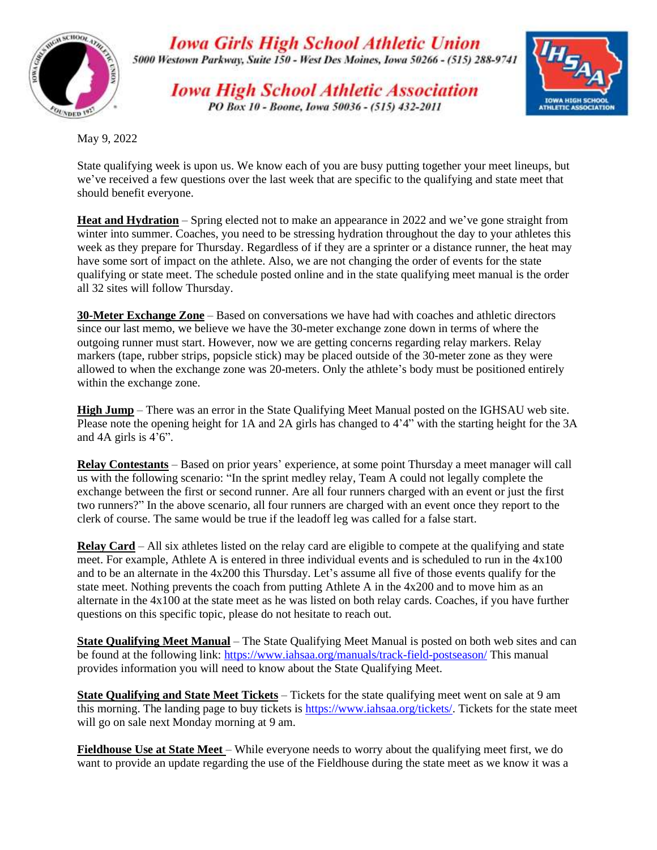

**Iowa Girls High School Athletic Union** 5000 Westown Parkway, Suite 150 - West Des Moines, Iowa 50266 - (515) 288-9741

**Iowa High School Athletic Association** PO Box 10 - Boone, Iowa 50036 - (515) 432-2011



May 9, 2022

State qualifying week is upon us. We know each of you are busy putting together your meet lineups, but we've received a few questions over the last week that are specific to the qualifying and state meet that should benefit everyone.

**Heat and Hydration** – Spring elected not to make an appearance in 2022 and we've gone straight from winter into summer. Coaches, you need to be stressing hydration throughout the day to your athletes this week as they prepare for Thursday. Regardless of if they are a sprinter or a distance runner, the heat may have some sort of impact on the athlete. Also, we are not changing the order of events for the state qualifying or state meet. The schedule posted online and in the state qualifying meet manual is the order all 32 sites will follow Thursday.

**30-Meter Exchange Zone** – Based on conversations we have had with coaches and athletic directors since our last memo, we believe we have the 30-meter exchange zone down in terms of where the outgoing runner must start. However, now we are getting concerns regarding relay markers. Relay markers (tape, rubber strips, popsicle stick) may be placed outside of the 30-meter zone as they were allowed to when the exchange zone was 20-meters. Only the athlete's body must be positioned entirely within the exchange zone.

**High Jump** – There was an error in the State Qualifying Meet Manual posted on the IGHSAU web site. Please note the opening height for 1A and 2A girls has changed to 4'4" with the starting height for the 3A and 4A girls is 4'6".

**Relay Contestants** – Based on prior years' experience, at some point Thursday a meet manager will call us with the following scenario: "In the sprint medley relay, Team A could not legally complete the exchange between the first or second runner. Are all four runners charged with an event or just the first two runners?" In the above scenario, all four runners are charged with an event once they report to the clerk of course. The same would be true if the leadoff leg was called for a false start.

**Relay Card** – All six athletes listed on the relay card are eligible to compete at the qualifying and state meet. For example, Athlete A is entered in three individual events and is scheduled to run in the 4x100 and to be an alternate in the 4x200 this Thursday. Let's assume all five of those events qualify for the state meet. Nothing prevents the coach from putting Athlete A in the 4x200 and to move him as an alternate in the 4x100 at the state meet as he was listed on both relay cards. Coaches, if you have further questions on this specific topic, please do not hesitate to reach out.

**State Qualifying Meet Manual** – The State Qualifying Meet Manual is posted on both web sites and can be found at the following link:<https://www.iahsaa.org/manuals/track-field-postseason/> This manual provides information you will need to know about the State Qualifying Meet.

**State Qualifying and State Meet Tickets** – Tickets for the state qualifying meet went on sale at 9 am this morning. The landing page to buy tickets is [https://www.iahsaa.org/tickets/.](https://www.iahsaa.org/tickets/) Tickets for the state meet will go on sale next Monday morning at 9 am.

**Fieldhouse Use at State Meet** – While everyone needs to worry about the qualifying meet first, we do want to provide an update regarding the use of the Fieldhouse during the state meet as we know it was a